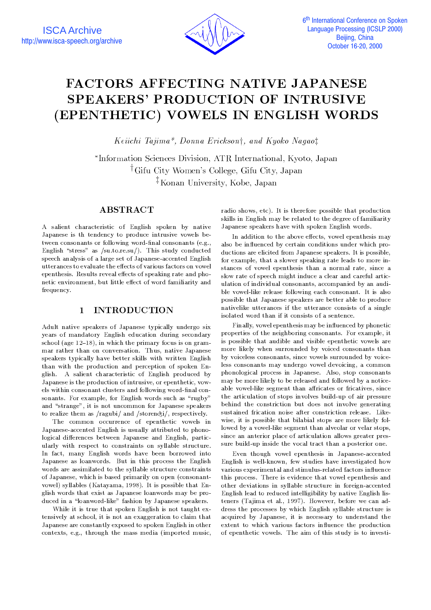

### FACTORS AFFECTING NATIVE JAPANESE SPEAKERS' PRODUCTION OF INTRUSIVE (EPENTHETIC) VOWELS IN ENGLISH WORDS

Keiichi Tajima\*, Donna Erickson†, and Kyoko Nagao‡

 Information Sciences Division, ATR International, Kyoto, Japan <sup>†</sup>Gifu City Women's College, Gifu City, Japan <sup>‡</sup>Konan University, Kobe, Japan

#### ABSTRACT

A salient characteristic of English spoken by native Japanese is th tendency to produce intrusive vowels between consonants or following word-final consonants (e.g., English "stress" as /su.to.re.su/). This study conducted speech analysis of a large set of Japanese-accented English utterances to evaluate the effects of various factors on vowel epenthesis. Results reveal effects of speaking rate and phonetic environment, but little effect of word familiarity and frequency.

#### 1 INTRODUCTION

Adult native speakers of Japanese typically undergo six years of mandatory English education during secondary school (age  $12-18$ ), in which the primary focus is on grammar rather than on conversation. Thus, native Japanese speakers typically have better skills with written English than with the production and perception of spoken English. A salient characteristic of English produced by Japanese is the production of intrusive, or epenthetic, vowels within consonant clusters and following word-final consonants. For example, for English words such as "rugby" and "strange", it is not uncommon for Japanese speakers to realize them as  $/r$ agubi $/$  and  $/$ storen $dj/$ , respectively.

The common occurrence of epenthetic vowels in Japanese-accented English is usually attributed to phonological differences between Japanese and English, particularly with respect to constraints on syllable structure. In fact, many English words have been borrowed into Japanese as loanwords. But in this process the English words are assimilated to the syllable structure constraints of Japanese, which is based primarily on open (consonantvowel) syllables (Katayama, 1998). It is possible that English words that exist as Japanese loanwords may be produced in a "loanword-like" fashion by Japanese speakers.

While it is true that spoken English is not taught extensively at school, it is not an exaggeration to claim that Japanese are constantly exposed to spoken English in other contexts, e.g., through the mass media (imported music,

radio shows, etc). It is therefore possible that production skills in English may be related to the degree of familiarity Japanese speakers have with spoken English words.

In addition to the above effects, vowel epenthesis may also be influenced by certain conditions under which productions are elicited from Japanese speakers. It is possible, for example, that a slower speaking rate leads to more instances of vowel epenthesis than a normal rate, since a slow rate of speech might induce a clear and careful articulation of individual consonants, accompanied by an audible vowel-like release following each consonant. It is also possible that Japanese speakers are better able to produce nativelike utterances if the utterance consists of a single isolated word than if it consists of a sentence.

Finally, vowel epenthesis may be influenced by phonetic properties of the neighboring consonants. For example, it is possible that audible and visible epenthetic vowels are more likely when surrounded by voiced consonants than by voiceless consonants, since vowels surrounded by voiceless consonants may undergo vowel devoicing, a common phonological process in Japanese. Also, stop consonants may be more likely to be released and followed by a noticeable vowel-like segment than affricates or fricatives, since the articulation of stops involves build-up of air pressure behind the constriction but does not involve generating sustained frication noise after constriction release. Likewise, it is possible that bilabial stops are more likely followed by a vowel-like segment than alveolar or velar stops, since an anterior place of articulation allows greater pressure build-up inside the vocal tract than a posterior one.

Even though vowel epenthesis in Japanese-accented English is well-known, few studies have investigated how various experimental and stimulus-related factors influence this process. There is evidence that vowel epenthesis and other deviations in syllable structure in foreign-accented English lead to reduced intelligibility by native English listeners (Tajima et al., 1997). However, before we can address the processes by which English syllable structure is acquired by Japanese, it is necessary to understand the extent to which various factors influence the production of epenthetic vowels. The aim of this study is to investi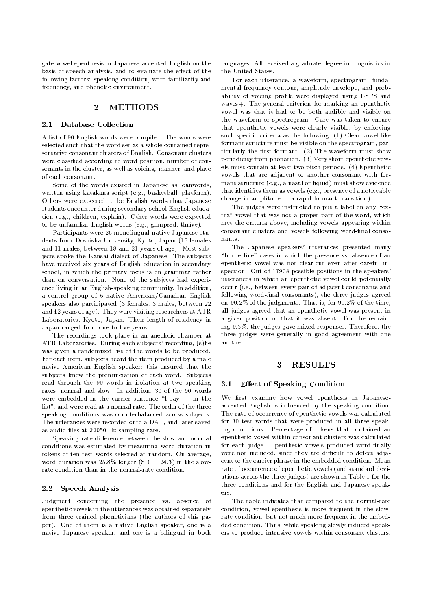gate vowel epenthesis in Japanese-accented English on the basis of speech analysis, and to evaluate the effect of the following factors: speaking condition, word familiarity and frequency, and phonetic environment.

#### 2 METHODS

#### 2.1 Database Collection

A list of 90 English words were compiled. The words were selected such that the word set as a whole contained representative consonant clusters of English. Consonant clusters were classied according to word position, number of consonants in the cluster, as well as voicing, manner, and place of each consonant.

Some of the words existed in Japanese as loanwords, written using katakana script (e.g., basketball, platform). Others were expected to be English words that Japanese students encounter during secondary-school English education (e.g., children, explain). Other words were expected to be unfamiliar English words (e.g., glimpsed, thrive).

Participants were 26 monolingual native Japanese students from Doshisha University, Kyoto, Japan (15 females and 11 males, between 18 and 21 years of age). Most subjects spoke the Kansai dialect of Japanese. The subjects have received six years of English education in secondary school, in which the primary focus is on grammar rather than on conversation. None of the subjects had experience living in an English-speaking community. In addition, a control group of 6 native American/Canadian English speakers also participated (3 females, 3 males, between 22 and 42 years of age). They were visiting researchers at ATR Laboratories, Kyoto, Japan. Their length of residency in Japan ranged from one to five years.

The recordings took place in an anechoic chamber at ATR Laboratories. During each subjects' recording, (s)he another. was given a randomized list of the words to be produced. For each item, subjects heard the item produced by a male native American English speaker; this ensured that the subjects knew the pronunciation of each word. Subjects read through the 90 words in isolation at two speaking 3.1 rates, normal and slow. In addition, 30 of the 90 words were embedded in the carrier sentence  $\mathbb{I}$  say  $\mathbb{I}$  in the list", and were read at a normal rate. The order of the three speaking conditions was counterbalanced across sub jects. The utterances were recorded onto a DAT, and later saved as audio files at 22050-Hz sampling rate.

Speaking rate difference between the slow and normal conditions was estimated by measuring word duration in tokens of ten test words selected at random. On average, word duration was  $25.8\%$  longer (SD = 24.3) in the slowrate condition than in the normal-rate condition.

#### 2.2 Speech Analysis

Judgment concerning the presence vs. absence of epenthetic vowels in the utterances was obtained separately from three trained phoneticians (the authors of this paper). One of them is a native English speaker, one is a native Japanese speaker, and one is a bilingual in both

languages. All received a graduate degree in Linguistics in the United States.

For each utterance, a waveform, spectrogram, fundamental frequency contour, amplitude envelope, and probability of voicing profile were displayed using ESPS and waves+. The general criterion for marking an epenthetic vowel was that it had to be both audible and visible on the waveform or spectrogram. Care was taken to ensure that epenthetic vowels were clearly visible, by enforcing such specific criteria as the following: (1) Clear vowel-like formant structure must be visible on the spectrogram, particularly the first formant. (2) The waveform must show periodicity from phonation. (3) Very short epenthetic vowels must contain at least two pitch periods. (4) Epenthetic vowels that are adjacent to another consonant with formant structure (e.g., a nasal or liquid) must show evidence that identifies them as vowels (e.g., presence of a noticeable change in amplitude or a rapid formant transition).

The judges were instructed to put a label on any "extra" vowel that was not a proper part of the word, which met the criteria above, including vowels appearing within consonant clusters and vowels following word-final consonants.

The Japanese speakers' utterances presented many "borderline" cases in which the presence vs. absence of an epenthetic vowel was not clear-cut even after careful inspection. Out of 17978 possible positions in the speakers' utterances in which an epenthetic vowel could potentially occur (i.e., between every pair of adjacent consonants and following word-final consonants), the three judges agreed on 90.2% of the judgments. That is, for 90.2% of the time, all judges agreed that an epenthetic vowel was present in a given position or that it was absent. For the remaining 9.8%, the judges gave mixed responses. Therefore, the three judges were generally in good agreement with one

#### 3 RESULTS

#### Effect of Speaking Condition

We first examine how vowel epenthesis in Japaneseaccented English is in
uenced by the speaking condition. The rate of occurrence of epenthetic vowels was calculated for 30 test words that were produced in all three speaking conditions. Percentage of tokens that contained an epenthetic vowel within consonant clusters was calculated for each judge. Epenthetic vowels produced word-finally were not included, since they are difficult to detect adjacent to the carrier phrase in the embedded condition. Mean rate of occurrence of epenthetic vowels (and standard deviations across the three judges) are shown in Table 1 for the three conditions and for the English and Japanese speakers.

The table indicates that compared to the normal-rate condition, vowel epenthesis is more frequent in the slowrate condition, but not much more frequent in the embedded condition. Thus, while speaking slowly induced speakers to produce intrusive vowels within consonant clusters,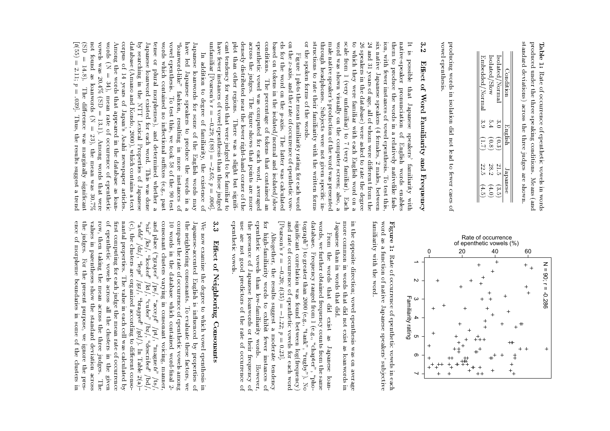produced under the three speaking conditions. Means (and standard deviations) across the three judges are shown. standard deviations) across the three judges are shoproduced under the three speaking conditions. Means (andTable 1: Table 1:Rate of occurrence of epenthetic vowels in words Rate of occurrence of epenthetic vowels in words

| Embedded/Normal | Isolated/Slow | Isolated /Normal | <b><i>Condition</i></b> |
|-----------------|---------------|------------------|-------------------------|
|                 |               | نه<br>ت          |                         |
|                 | $\frac{8}{8}$ | $\frac{3}{3}$    | iglisi                  |
| 22.5            | 28.2          | 21.5             |                         |
| $\ddot{\cdot}$  | †<br>Ö        | ن<br>رخ          | sanese                  |

versied word in isolation words in its in its in its in its in its in its in its in its in its in its in its i vowel epenthesis producing words in isolation did not lead to fewer cases of owel epenthesis.

## $\infty$ 3.2.<br>ما Effect of Word Familiarity and Frequency Eect of Word Familiarity and Frequency and Frequency and Frequency and Frequency and Frequency and Frequency and Frequency and Frequency and Frequency and Frequency and Frequency and Frequency and Frequency and Frequency a

scale or the spoken forms of the words. structions to rate their familiarity with the written forms structions to rate their familiarity with the written formsthrough headphones. Subjects were not given specific inthrough headphones. Substitute in the contract were not given specific inmale native speaker's production of the word was presented male native speaker's production of the word was presentedword was shown visually on the computer screen; also, a wscale from 1 (very unfamiliar) to 7 (very familiar). Eachto which they were familiar with each English word on a to which they were familiar with each English with each English word on a familiar with each English word on a<br>English word on a familiar with each English word on a familiar with each English word on a familiar word on a 26 speakers in the database) were asked to rate the degree 26 speakers in the database) were asked to rate the degree $24$  and  $31$  years of age, all of whom were different from the  $24$  and  $31$  years of all of whom were diependent from the whom were diependent from the whom were diependent from the  $\alpha$ six native Japanese speakers (4 females, six native Japanese speakers (4 females, 2 males, betweenion, with fewer instances of vowel epenthesis. To test this, ion, with fewer instances of vowel epenthesis. To test this,them to produce the words in a relatively nativelike fashthem to produce the words in a relatively nativelike fashnative-speaker pronunciation native and the second second to the contract of the contract of the contract of the contract of the contract of the contract of the contract of the contract of the contract of the contract of the contract of the contract o Ħ It is possible that Japanese speakers' familiarity withord was shown visually on the computer screen; also, ais possible that Japanese from 1 (very unfamiliar) to 7 (very familiar). Each e-speaker pronunciation of English words enables $\overline{0}$ speakers' familiarity English 2 males, words between enables uith .

 $cm<sub>1</sub>$ unfamiliar [Pearson's  $r =$ unfamiliar [Pearson'shave fewer instances of vowel epenthesis than those judgedcant tendency for words that were judged to be familiar toplot than other regions. plot than other regions.densely distributed near the lower right-hand corner of the densely distributed near the loacross the judges. across the judges. The judges. The judges that points are more shows that points are more shows that points are more more shows that points are more shows that points are more shows that points are more shows that points a epenthetic vowel was computed for each word, averaged epenthetic voconditions. conditions. The percentage of tokens that contained anbased on tokens in the isolated/normal and isolated/slow based on tokens in the isolated/normal and isolated/slowels tor the word on the y-axis. on the  $x$ -axis, and the rate of occurrence of epenthetic vowhave fewer instances of vowel epenthesis than those judged  $\ldots$ Figure 1 plots the mean familiarity rating for each word In addition to degree of familiarity, the existence ofFigure 1 plots the mean familiarity rating for each wordtendency for words that were judged to be familiar to  $x_1$  and the rate of occurrence of  $x_1$ The percentage of tokens that contained an wel was computed for each word, and word, and word, and word, and word, and word, and word, and word, and word, and word, and word, and word, and word, and word, and word, and word, and word, and word, and word, and word, The figure shows that points are more r y-axis. The latter was calculatedThere was a slight but signifi- $-0.29; t(88) =$  0.29; There was a slight but signi wer right-hand corner of theThe latter was calculated  $\overline{a}$  $-2.65;$  2.65; $p = .006$ . p= .006].

not  $=$   $\overline{a}$  $\overline{a}$ not found as loanwords (N = 23), the mean was 30.7%vowels was 20.4% (SD = vowels was 20.4% (SD  $=$  13.1). Among words that were that we recovered that we recovered that we recovered that we recovered that we recovered the contribution of  $\sim$ words words  $(N=34)$ , mean rate of occurrence of epertuality corpus of 14 years of Japan's Asahi newspaper articles. corpus of 14 ydatabase (Amano and Kondo, 2000), which contains a text database (Amano and Kondo, 2000), which contains a textg by searching in the NTT Lexical Properties of JapaneseJapanese loanwtense tense or plural morphemes), and determined whether a words which contained no in
ectional suxes (e.g., pastvowel epenthesis. vowel epenthesis. To test this, we took 58 of the 90 test $\mathbf{f}^{\text{max}}_{\text{max}}$  fashion, resulting in more instances of more instances of more instances of more instances of more instances of  $\mathbf{f}^{\text{max}}_{\text{max}}$ have led Japanese speakers to produce the words in aJapanese loanwords for some of the English words may $[t(55) = 2.11; p = .039]$ . Thus, the results suggest a trend Among the words that appeared in the database as Japanese loanword existed for each word. This was done words which contained no inflectional suffixes  $(e.g.,$ "loanword-like" fashion, resulting have led Japanese ords (N = 34), mean rate of occurrence of epentheticsearching in the NTT Lexical Properties of Japanese found as loanwords  $(N = 23)$ , the mean was 30.7%<br>  $0 = 14.8$ ). The difference was marginally significant In addition to degree of familiarity, the existence of or plural morphemes), and determined whether a  $\mathbf{z}$ loanwords for some of the English  $\overline{\mathbf{u}}$ Japanese speakers to produce  $34$ ), mean rate of occurrence of epenthetic<br> $34$ ), mean rate of occurrence of epenthetic ears of Japan's Asahi newspaper articles.The dierence was made was made was made was made was made was made was made was made was made was made was a s<br>The discovered was made was made was made was made was made was made was made was made was made was well as the To test this, we took 58 of the 90 test 13.1). Among words that were in more instances of the words in a words -ueoj , past keu

[t]<br>.<br>.

p

= .039]. Thus, the results suggest a trend suggest a trend suggest a trend suggest a trend suggest a trend suggest a trend suggest a trend suggest a trend suggest a trend suggest a trend suggest a trend suggest a trend sug

ence of morpheme boundaries in some of the clusters in



Figure 1: Rate of occurrence of epenthetic vowels in each familiarity with the word. word as a function of native Japanese speakers' subjective familiarity with the word.word as a function of native Japanese speakers' sub jectiveFigure 1:Rate of occurrence of epenthetic vowels in each

in the opposite direction; vowel epenthesis was on average was on average was on average was on average was on average was on average was o Japanese than in words that did.

and rate of occurrence of epenthetic vowels for each word words, we further obtained frequency counts from the same database. Frequency ranged from  $1$  (e.g., "chapter", "phodatabase.  $[Pearson's r =$ [Pearson'sand rate of occurrence of epenthetic vowels for each wordsignicant correlation was found betwtograph (e.g.,  $\frac{1}{2}$  ) to greater than 2000 (e.g.,  $\frac{1}{2}$  ). Note that  $\frac{1}{2}$  (e.g.,  $\frac{1}{2}$  ). Note that  $\frac{1}{2}$ database. Frequency ranged from 1 (e.g., \chapter", \phowords, we further obtained frequency counts from the same From the words that did exist as Japanese loan r $-0.20; t(35) =$  0.20; $\overline{a}$  $-1.22;$  1.22; $p = 0.23$ een log(frequency) = 0.23]. $\alpha_{\rm M}$  ,  $\alpha_{\rm M}$  ,  $\alpha_{\rm M}$ 

or the spoken forms of the words.

epenthetic vowels. use are not good predictors of the rate of occurrence of the presence of Japanese loanwords or their frequency of for high-familiarity words to exhibit fewer instances of use are not good predictors of the rate of occurrence ofthe presence of Japanese loanwords or the presence of Japanese loanwords or the their frequency of  $\frac{1}{2}$ epenthetic vofor high-familiarity words to exhibit fewer instances ofAltogether, the results suggest a Altogether, the results suggest a moderate tendency<sup>2</sup> wels than low-familiarity words. However, moderate tendency However,

# ده<br>ده 3.3Effect of Neighboring Consonants Eect of Neighboring Consonants

epenthetic vo

 $enc$ row, then taking the mean across the three of epenthetic first computing for each judge the mean rate of occurrence consonant clusters varying in consonant voicing, manner,<br>and place ("grapes" /ps/, "accept" /pt/, "magnets" /ts/,<br>"six" /ks/, "looked" /kt/, "cubes" /pt/, "fascribed" /bd/,<br>"adds" /dz/, "legs" /gz/, "bragged" /gd/). In Ta  $\mathcal{E}PP^{\mathbf{e}_{\mathfrak{y}}}$ compare the rate of occurrence of epenthetic vowels among nantal properties. The value in each cell was calculated by We now examine the degree to which vowel epenthesis the judges. For the present purpose, we ignore the pres vrow, then taking the mean across the mean across the three judges. The three judges. The three judges. The three judges. The three judges. The three judges. The three judges. The three judges. The three judges. The three j of epenthetic vorst computing for each judge the mean rate of occurrencenantal properties. The v $(c)$ , the clusters are organized according to different conso- $\alpha$ , the clusters are organized according to dierent conso-dimensional to dierent conso-dimensional to dierent conso-dimensional to dimensional to dimensional to dimensional to dimensional to dimensional to dimensional t  $\mathcal{L}$ dds" /dz/, "legs" /gz/, "bragged" /gd/). In Table 2(a)  $\langle k, \rho \rangle$  /ks/,  $\langle \text{NLO}$  /kt/,  $\langle \text{Cul} \rangle$  /bz/,  $\langle \text{Cul} \rangle$  /bz/,  $\langle \text{Cul} \rangle$  /bd/,  $\langle \text{Cul} \rangle$ and place ("grapes" /ps/, "accept" /pt/, "magnets" /ts/, 10 words in the database compare the rate of occurrence of epenthetic vowels amongthe neighboring consonants. TJapanese-accented English is influenced by properties of Japanese-accented English is in
uenced by properties ofWe now examine the degree to which vowel epenthesis inalues in parentheses show the standard deviation acrossof morpheme boundaries in some of the clusters in vowels across all the clusters in the given wels across all the clusters in the givenarying in consonant voicing, manner,alue in each cell was calculated bywhich contained word-final 2o evaluate these factors, wejudges. -ug  $\mathbf{E}^{\prime}$